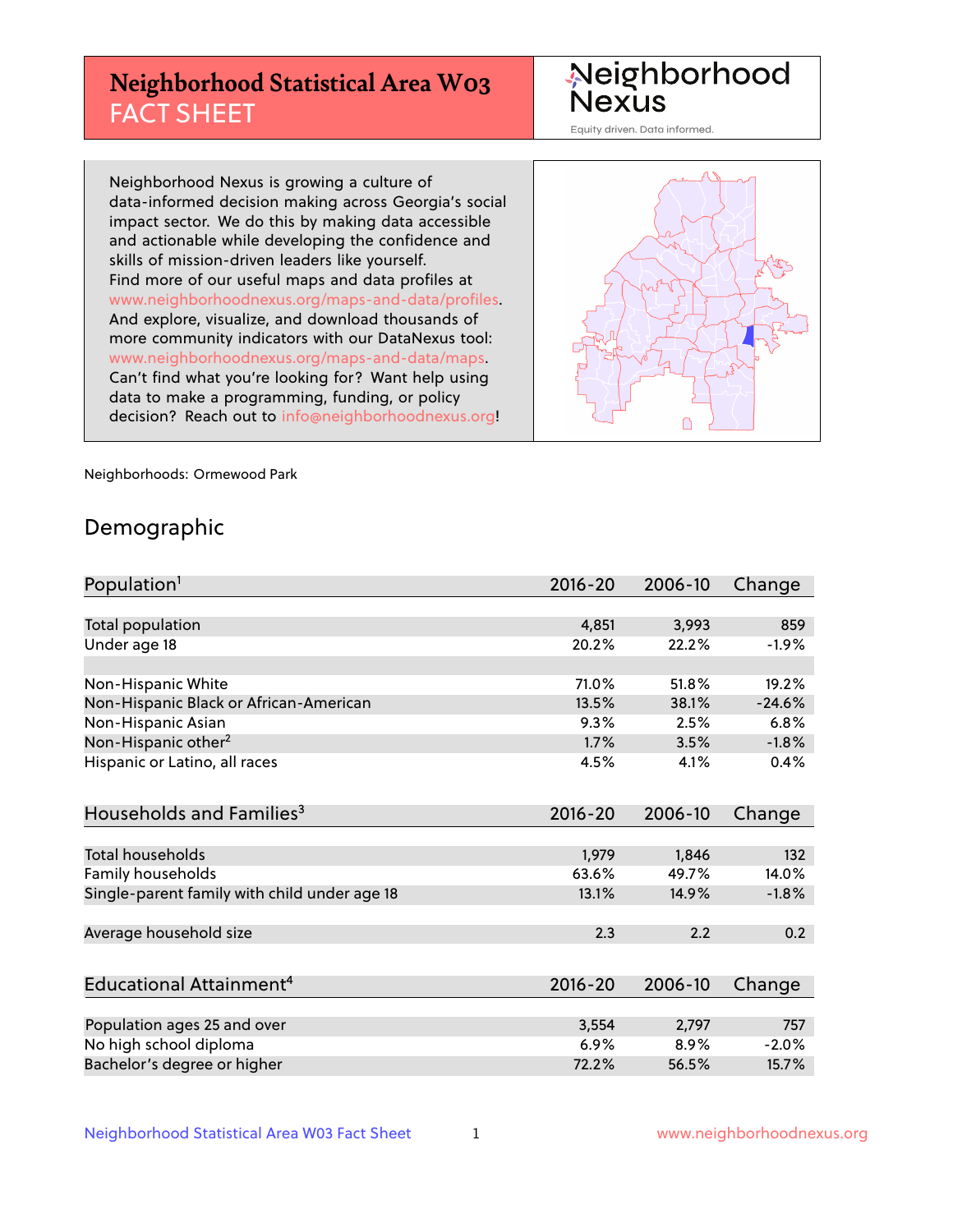## **Neighborhood Statistical Area W03** FACT SHEET

Neighborhood Nexus

Equity driven. Data informed.

Neighborhood Nexus is growing a culture of data-informed decision making across Georgia's social impact sector. We do this by making data accessible and actionable while developing the confidence and skills of mission-driven leaders like yourself. Find more of our useful maps and data profiles at www.neighborhoodnexus.org/maps-and-data/profiles. And explore, visualize, and download thousands of more community indicators with our DataNexus tool: www.neighborhoodnexus.org/maps-and-data/maps. Can't find what you're looking for? Want help using data to make a programming, funding, or policy decision? Reach out to [info@neighborhoodnexus.org!](mailto:info@neighborhoodnexus.org)



Neighborhoods: Ormewood Park

### Demographic

| Population <sup>1</sup>                      | $2016 - 20$ | 2006-10 | Change   |
|----------------------------------------------|-------------|---------|----------|
|                                              |             |         |          |
| Total population                             | 4,851       | 3,993   | 859      |
| Under age 18                                 | 20.2%       | 22.2%   | $-1.9%$  |
|                                              |             |         |          |
| Non-Hispanic White                           | 71.0%       | 51.8%   | 19.2%    |
| Non-Hispanic Black or African-American       | 13.5%       | 38.1%   | $-24.6%$ |
| Non-Hispanic Asian                           | 9.3%        | 2.5%    | 6.8%     |
| Non-Hispanic other <sup>2</sup>              | 1.7%        | 3.5%    | $-1.8%$  |
| Hispanic or Latino, all races                | 4.5%        | 4.1%    | 0.4%     |
|                                              |             |         |          |
| Households and Families <sup>3</sup>         | $2016 - 20$ | 2006-10 | Change   |
|                                              |             |         |          |
| Total households                             | 1,979       | 1,846   | 132      |
| Family households                            | 63.6%       | 49.7%   | 14.0%    |
| Single-parent family with child under age 18 | 13.1%       | 14.9%   | $-1.8%$  |
|                                              |             |         |          |
| Average household size                       | 2.3         | 2.2     | 0.2      |
|                                              |             |         |          |
| Educational Attainment <sup>4</sup>          | $2016 - 20$ | 2006-10 | Change   |
|                                              |             |         |          |
| Population ages 25 and over                  | 3,554       | 2,797   | 757      |
| No high school diploma                       | 6.9%        | 8.9%    | $-2.0%$  |
| Bachelor's degree or higher                  | 72.2%       | 56.5%   | 15.7%    |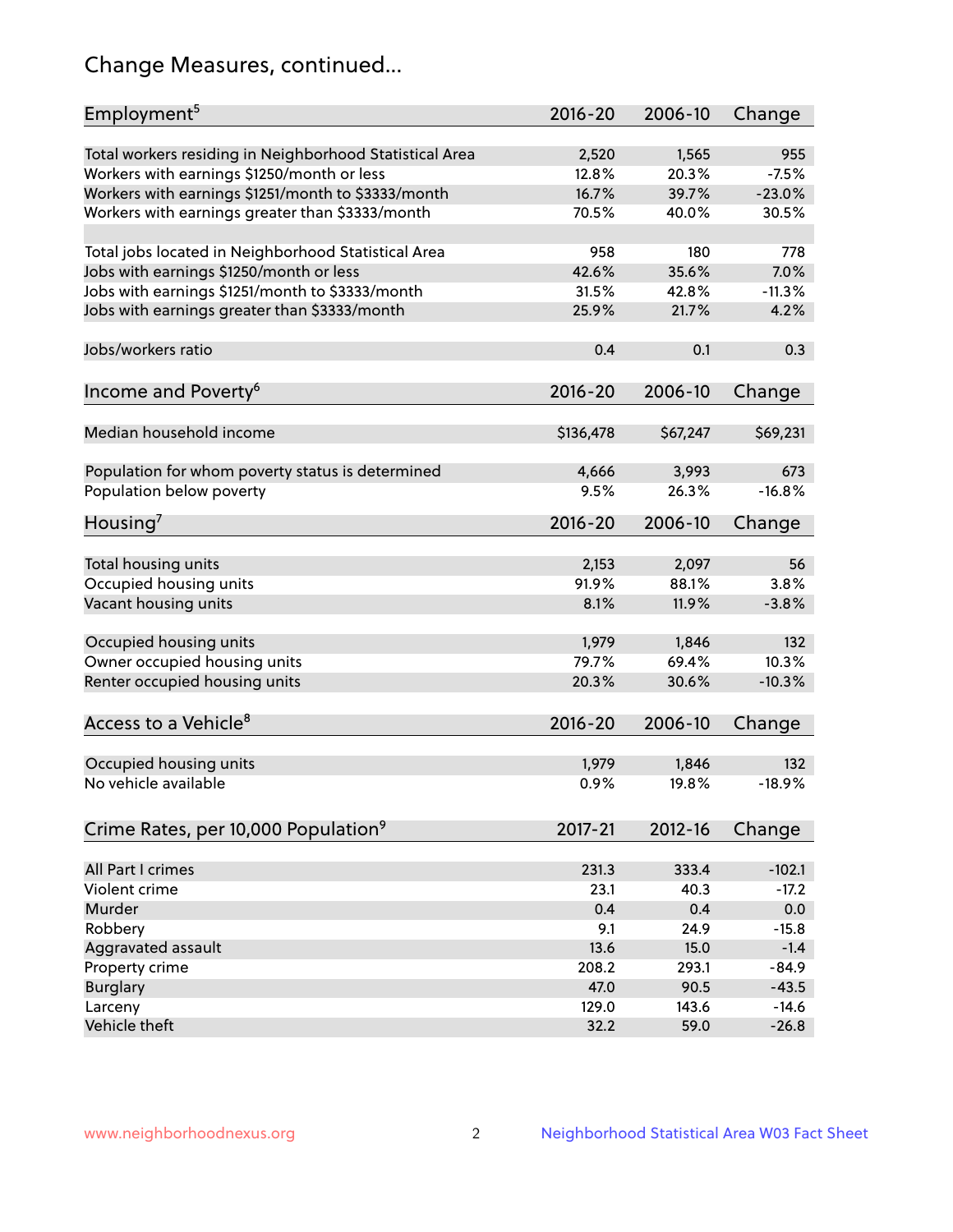## Change Measures, continued...

| Employment <sup>5</sup>                                 | $2016 - 20$    | 2006-10        | Change         |
|---------------------------------------------------------|----------------|----------------|----------------|
|                                                         |                |                |                |
| Total workers residing in Neighborhood Statistical Area | 2,520<br>12.8% | 1,565<br>20.3% | 955<br>$-7.5%$ |
| Workers with earnings \$1250/month or less              | 16.7%          | 39.7%          | $-23.0%$       |
| Workers with earnings \$1251/month to \$3333/month      | 70.5%          | 40.0%          | 30.5%          |
| Workers with earnings greater than \$3333/month         |                |                |                |
| Total jobs located in Neighborhood Statistical Area     | 958            | 180            | 778            |
| Jobs with earnings \$1250/month or less                 | 42.6%          | 35.6%          | 7.0%           |
| Jobs with earnings \$1251/month to \$3333/month         | 31.5%          | 42.8%          | $-11.3%$       |
| Jobs with earnings greater than \$3333/month            | 25.9%          | 21.7%          | 4.2%           |
|                                                         |                |                |                |
| Jobs/workers ratio                                      | 0.4            | 0.1            | 0.3            |
|                                                         |                |                |                |
| Income and Poverty <sup>6</sup>                         | 2016-20        | 2006-10        | Change         |
|                                                         |                |                |                |
| Median household income                                 | \$136,478      | \$67,247       | \$69,231       |
|                                                         |                |                |                |
| Population for whom poverty status is determined        | 4,666          | 3,993          | 673            |
| Population below poverty                                | 9.5%           | 26.3%          | $-16.8%$       |
| Housing <sup>7</sup>                                    | $2016 - 20$    | 2006-10        | Change         |
|                                                         |                |                |                |
| Total housing units                                     | 2,153          | 2,097          | 56             |
| Occupied housing units                                  | 91.9%          | 88.1%          | 3.8%           |
| Vacant housing units                                    | 8.1%           | 11.9%          | $-3.8%$        |
|                                                         |                |                |                |
| Occupied housing units                                  | 1,979          | 1,846          | 132            |
| Owner occupied housing units                            | 79.7%          | 69.4%          | 10.3%          |
| Renter occupied housing units                           | 20.3%          | 30.6%          | $-10.3%$       |
|                                                         |                |                |                |
| Access to a Vehicle <sup>8</sup>                        | $2016 - 20$    | 2006-10        | Change         |
|                                                         |                |                |                |
| Occupied housing units                                  | 1,979          | 1,846          | 132            |
| No vehicle available                                    | 0.9%           | 19.8%          | $-18.9%$       |
|                                                         |                |                |                |
| Crime Rates, per 10,000 Population <sup>9</sup>         | 2017-21        | 2012-16        | Change         |
| All Part I crimes                                       | 231.3          | 333.4          | $-102.1$       |
| Violent crime                                           | 23.1           | 40.3           | $-17.2$        |
| Murder                                                  | 0.4            | 0.4            | 0.0            |
| Robbery                                                 | 9.1            | 24.9           | $-15.8$        |
| Aggravated assault                                      | 13.6           | 15.0           | $-1.4$         |
| Property crime                                          | 208.2          | 293.1          | $-84.9$        |
| <b>Burglary</b>                                         | 47.0           | 90.5           | $-43.5$        |
| Larceny                                                 | 129.0          | 143.6          | $-14.6$        |
| Vehicle theft                                           | 32.2           | 59.0           | $-26.8$        |
|                                                         |                |                |                |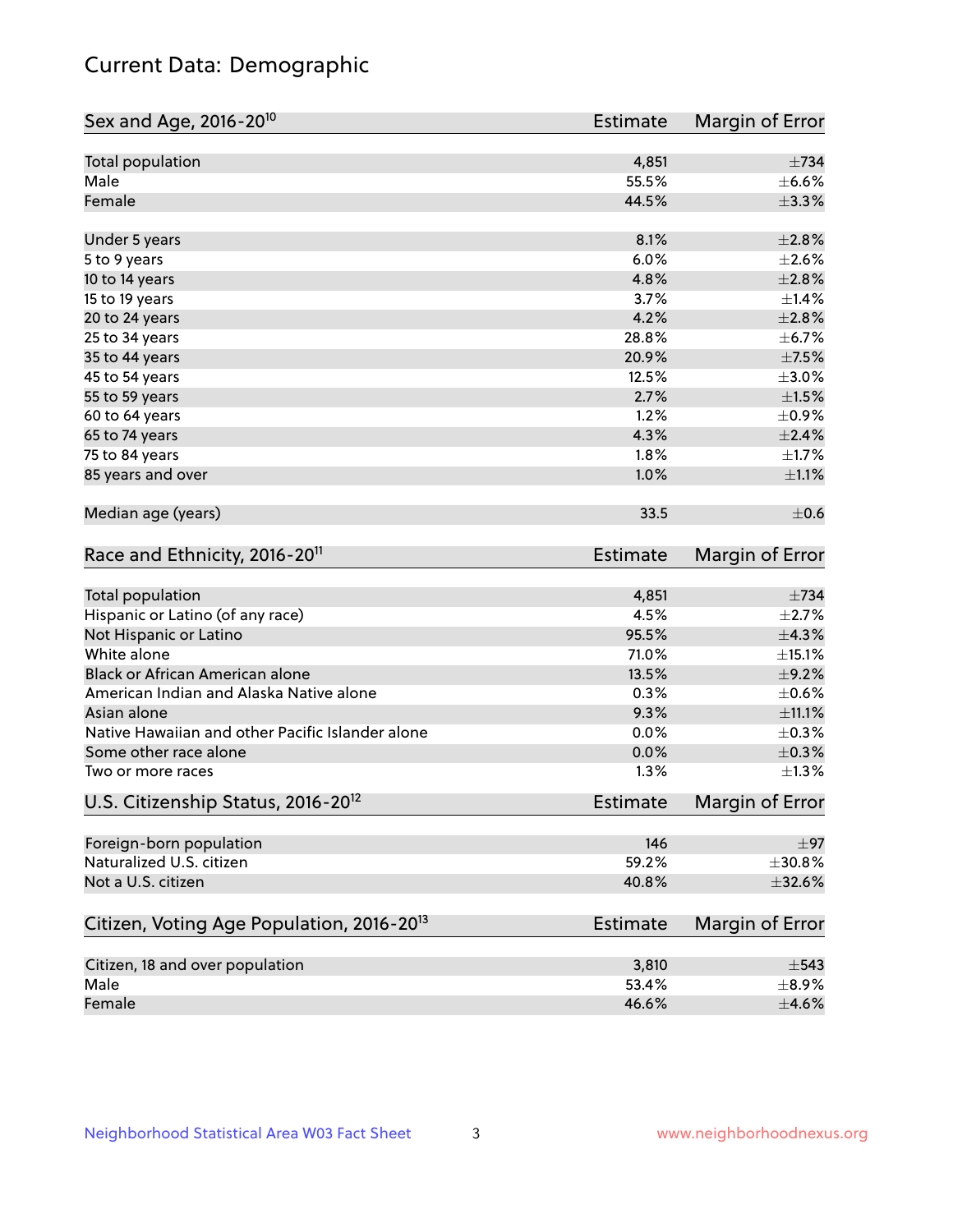## Current Data: Demographic

| Sex and Age, 2016-20 <sup>10</sup>                    | <b>Estimate</b> | Margin of Error |
|-------------------------------------------------------|-----------------|-----------------|
| Total population                                      | 4,851           | $\pm 734$       |
| Male                                                  | 55.5%           | $\pm$ 6.6%      |
| Female                                                | 44.5%           | $\pm$ 3.3%      |
| Under 5 years                                         | 8.1%            | ±2.8%           |
| 5 to 9 years                                          | 6.0%            | $\pm 2.6\%$     |
| 10 to 14 years                                        | 4.8%            | $\pm 2.8\%$     |
| 15 to 19 years                                        | 3.7%            | ±1.4%           |
| 20 to 24 years                                        | 4.2%            | $\pm 2.8\%$     |
| 25 to 34 years                                        | 28.8%           | $\pm$ 6.7%      |
| 35 to 44 years                                        | 20.9%           | $\pm$ 7.5%      |
| 45 to 54 years                                        | 12.5%           | $\pm 3.0\%$     |
| 55 to 59 years                                        | 2.7%            | $\pm 1.5\%$     |
| 60 to 64 years                                        | 1.2%            | $\pm$ 0.9%      |
| 65 to 74 years                                        | 4.3%            | $\pm 2.4\%$     |
| 75 to 84 years                                        | 1.8%            | $\pm 1.7\%$     |
| 85 years and over                                     | 1.0%            | $\pm 1.1\%$     |
| Median age (years)                                    | 33.5            | $\pm$ 0.6       |
| Race and Ethnicity, 2016-20 <sup>11</sup>             | <b>Estimate</b> | Margin of Error |
| <b>Total population</b>                               | 4,851           | $\pm 734$       |
| Hispanic or Latino (of any race)                      | 4.5%            | $\pm 2.7\%$     |
| Not Hispanic or Latino                                | 95.5%           | ±4.3%           |
| White alone                                           | 71.0%           | $\pm$ 15.1%     |
| Black or African American alone                       | 13.5%           | $\pm$ 9.2%      |
| American Indian and Alaska Native alone               | 0.3%            | $\pm$ 0.6%      |
| Asian alone                                           | 9.3%            | $\pm$ 11.1%     |
| Native Hawaiian and other Pacific Islander alone      | 0.0%            | $\pm$ 0.3%      |
| Some other race alone                                 | 0.0%            | $\pm$ 0.3%      |
| Two or more races                                     | 1.3%            | $\pm 1.3\%$     |
| U.S. Citizenship Status, 2016-20 <sup>12</sup>        | Estimate        | Margin of Error |
| Foreign-born population                               | 146             | ±97             |
| Naturalized U.S. citizen                              | 59.2%           | ±30.8%          |
| Not a U.S. citizen                                    | 40.8%           | $\pm$ 32.6%     |
| Citizen, Voting Age Population, 2016-20 <sup>13</sup> | <b>Estimate</b> | Margin of Error |
| Citizen, 18 and over population                       | 3,810           | $\pm$ 543       |
| Male                                                  | 53.4%           | $\pm$ 8.9%      |
| Female                                                | 46.6%           | $\pm 4.6\%$     |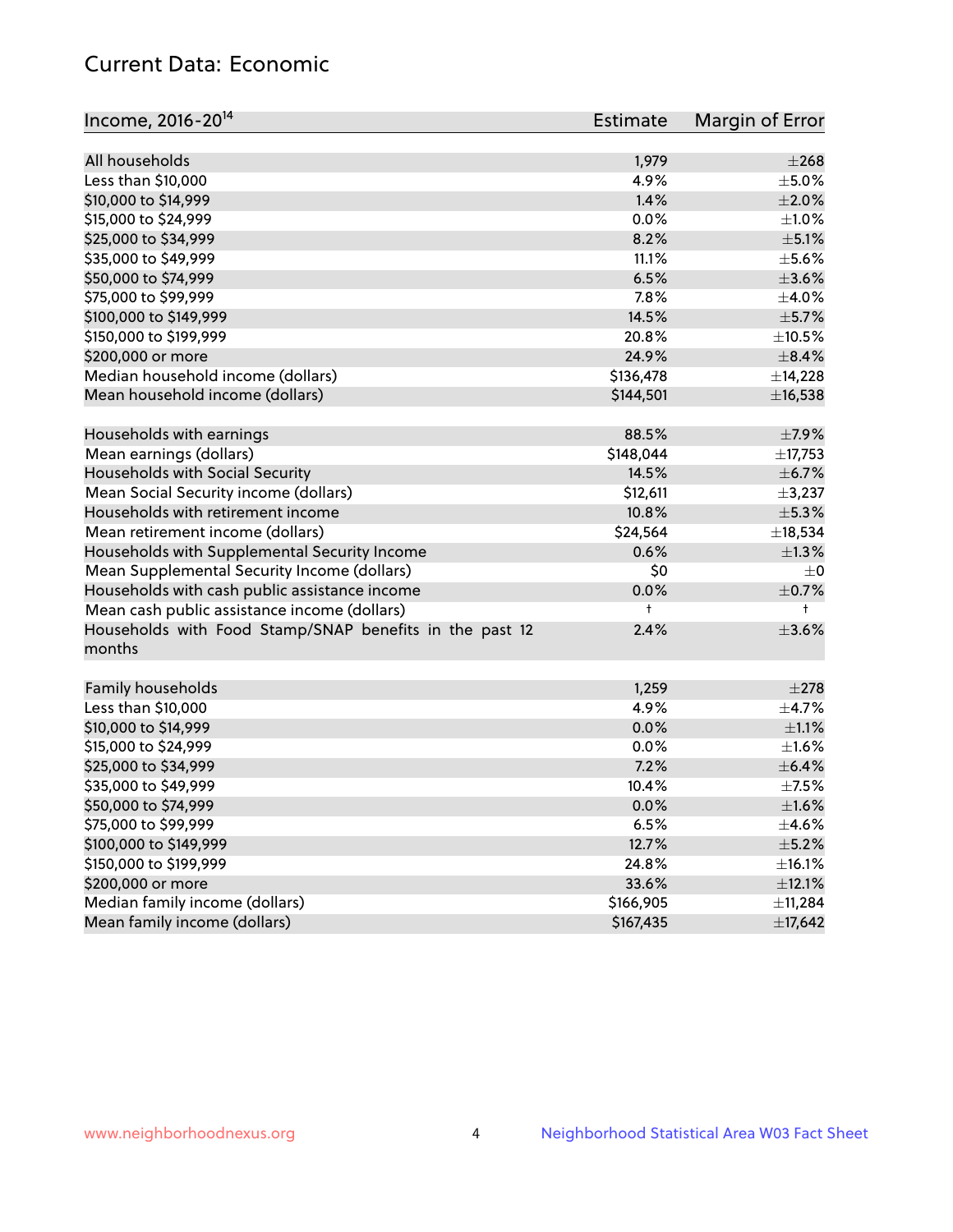## Current Data: Economic

| Income, 2016-20 <sup>14</sup>                           | Estimate      | Margin of Error |
|---------------------------------------------------------|---------------|-----------------|
| All households                                          |               | $\pm 268$       |
|                                                         | 1,979<br>4.9% | $\pm$ 5.0%      |
| Less than \$10,000                                      |               |                 |
| \$10,000 to \$14,999                                    | 1.4%          | $\pm 2.0\%$     |
| \$15,000 to \$24,999                                    | 0.0%          | $\pm 1.0\%$     |
| \$25,000 to \$34,999                                    | 8.2%          | $\pm$ 5.1%      |
| \$35,000 to \$49,999                                    | 11.1%         | $\pm$ 5.6%      |
| \$50,000 to \$74,999                                    | 6.5%          | $\pm 3.6\%$     |
| \$75,000 to \$99,999                                    | 7.8%          | $\pm$ 4.0%      |
| \$100,000 to \$149,999                                  | 14.5%         | $\pm$ 5.7%      |
| \$150,000 to \$199,999                                  | 20.8%         | $\pm$ 10.5%     |
| \$200,000 or more                                       | 24.9%         | $\pm$ 8.4%      |
| Median household income (dollars)                       | \$136,478     | ±14,228         |
| Mean household income (dollars)                         | \$144,501     | ±16,538         |
| Households with earnings                                | 88.5%         | $\pm$ 7.9%      |
| Mean earnings (dollars)                                 | \$148,044     | ±17,753         |
| Households with Social Security                         | 14.5%         | $\pm$ 6.7%      |
| Mean Social Security income (dollars)                   | \$12,611      | $\pm$ 3,237     |
| Households with retirement income                       | 10.8%         | ±5.3%           |
| Mean retirement income (dollars)                        | \$24,564      | ±18,534         |
| Households with Supplemental Security Income            | 0.6%          | $\pm 1.3\%$     |
| Mean Supplemental Security Income (dollars)             | \$0           | $\pm 0$         |
| Households with cash public assistance income           | 0.0%          | $\pm$ 0.7%      |
| Mean cash public assistance income (dollars)            | t             | $\ddagger$      |
| Households with Food Stamp/SNAP benefits in the past 12 | 2.4%          | $\pm 3.6\%$     |
| months                                                  |               |                 |
|                                                         |               |                 |
| Family households                                       | 1,259         | $\pm 278$       |
| Less than \$10,000                                      | 4.9%          | $\pm$ 4.7%      |
| \$10,000 to \$14,999                                    | 0.0%          | $\pm 1.1\%$     |
| \$15,000 to \$24,999                                    | 0.0%          | $\pm1.6\%$      |
| \$25,000 to \$34,999                                    | 7.2%          | $\pm$ 6.4%      |
| \$35,000 to \$49,999                                    | 10.4%         | $\pm$ 7.5%      |
| \$50,000 to \$74,999                                    | 0.0%          | $\pm 1.6\%$     |
| \$75,000 to \$99,999                                    | 6.5%          | $\pm$ 4.6%      |
| \$100,000 to \$149,999                                  | 12.7%         | $\pm$ 5.2%      |
| \$150,000 to \$199,999                                  | 24.8%         | $\pm$ 16.1%     |
| \$200,000 or more                                       | 33.6%         | $\pm$ 12.1%     |
| Median family income (dollars)                          | \$166,905     | ±11,284         |
| Mean family income (dollars)                            | \$167,435     | ±17,642         |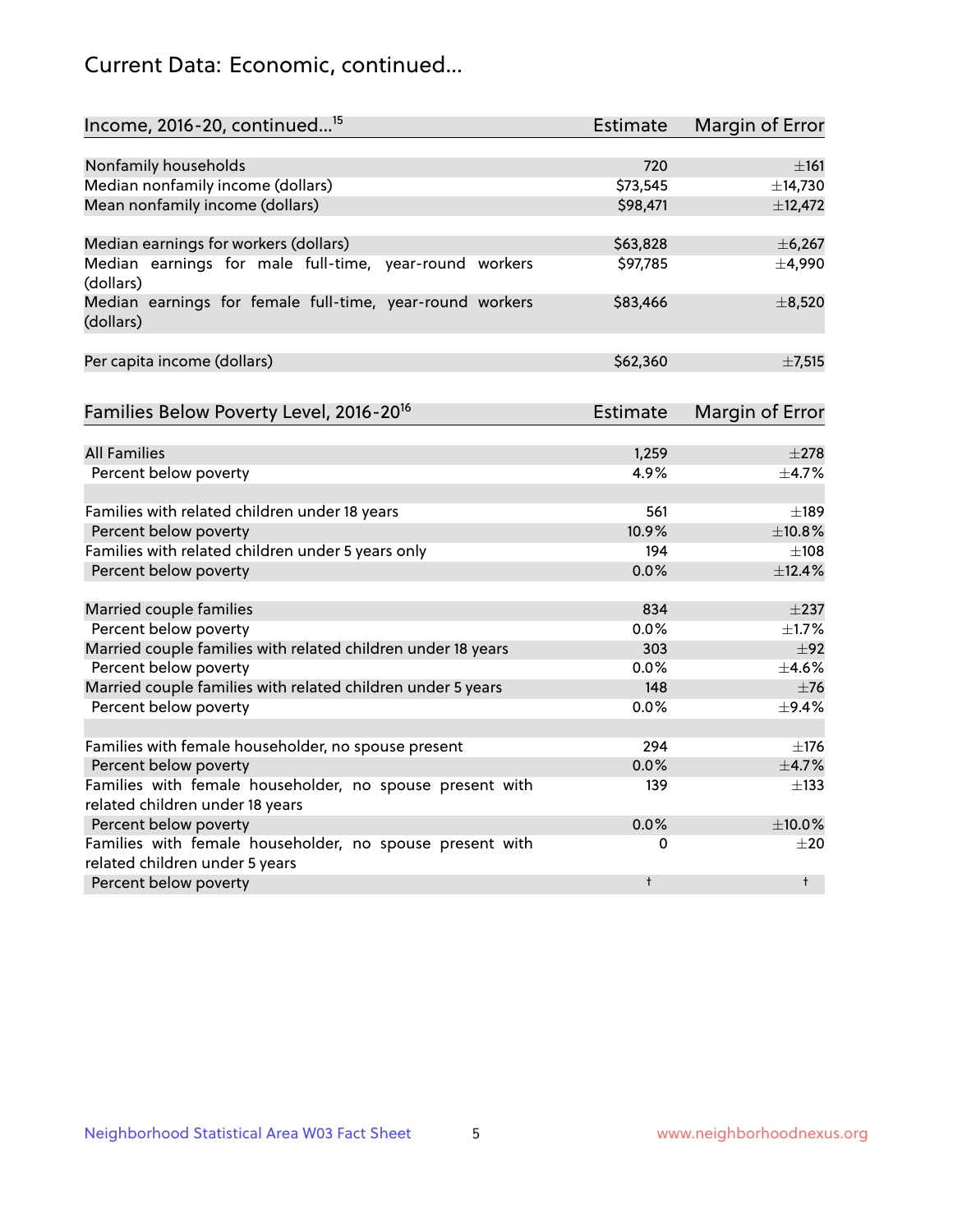## Current Data: Economic, continued...

| Income, 2016-20, continued <sup>15</sup>                                                    | <b>Estimate</b> | <b>Margin of Error</b> |
|---------------------------------------------------------------------------------------------|-----------------|------------------------|
|                                                                                             |                 |                        |
| Nonfamily households                                                                        | 720             | ±161                   |
| Median nonfamily income (dollars)                                                           | \$73,545        | ±14,730                |
| Mean nonfamily income (dollars)                                                             | \$98,471        | ±12,472                |
| Median earnings for workers (dollars)                                                       | \$63,828        | ±6,267                 |
| Median earnings for male full-time, year-round workers                                      | \$97,785        | ±4,990                 |
| (dollars)<br>Median earnings for female full-time, year-round workers<br>(dollars)          | \$83,466        | $\pm$ 8,520            |
| Per capita income (dollars)                                                                 | \$62,360        | $\pm$ 7,515            |
| Families Below Poverty Level, 2016-20 <sup>16</sup>                                         | <b>Estimate</b> | <b>Margin of Error</b> |
|                                                                                             |                 |                        |
| <b>All Families</b>                                                                         | 1,259           | $\pm 278$              |
| Percent below poverty                                                                       | 4.9%            | ±4.7%                  |
| Families with related children under 18 years                                               | 561             | $\pm$ 189              |
| Percent below poverty                                                                       | 10.9%           | ±10.8%                 |
| Families with related children under 5 years only                                           | 194             | $\pm 108$              |
| Percent below poverty                                                                       | 0.0%            | ±12.4%                 |
| Married couple families                                                                     | 834             | $\pm$ 237              |
| Percent below poverty                                                                       | 0.0%            | $\pm$ 1.7%             |
| Married couple families with related children under 18 years                                | 303             | ±92                    |
| Percent below poverty                                                                       | $0.0\%$         | $\pm$ 4.6%             |
| Married couple families with related children under 5 years                                 | 148             | $\pm$ 76               |
| Percent below poverty                                                                       | $0.0\%$         | ±9.4%                  |
|                                                                                             |                 |                        |
| Families with female householder, no spouse present                                         | 294             | $\pm$ 176              |
| Percent below poverty                                                                       | 0.0%            | $\pm$ 4.7%             |
| Families with female householder, no spouse present with<br>related children under 18 years | 139             | $\pm$ 133              |
| Percent below poverty                                                                       | 0.0%            | ±10.0%                 |
| Families with female householder, no spouse present with                                    | 0               | $\pm 20$               |
| related children under 5 years                                                              |                 |                        |
| Percent below poverty                                                                       | $\ddagger$      | $^{\dagger}$           |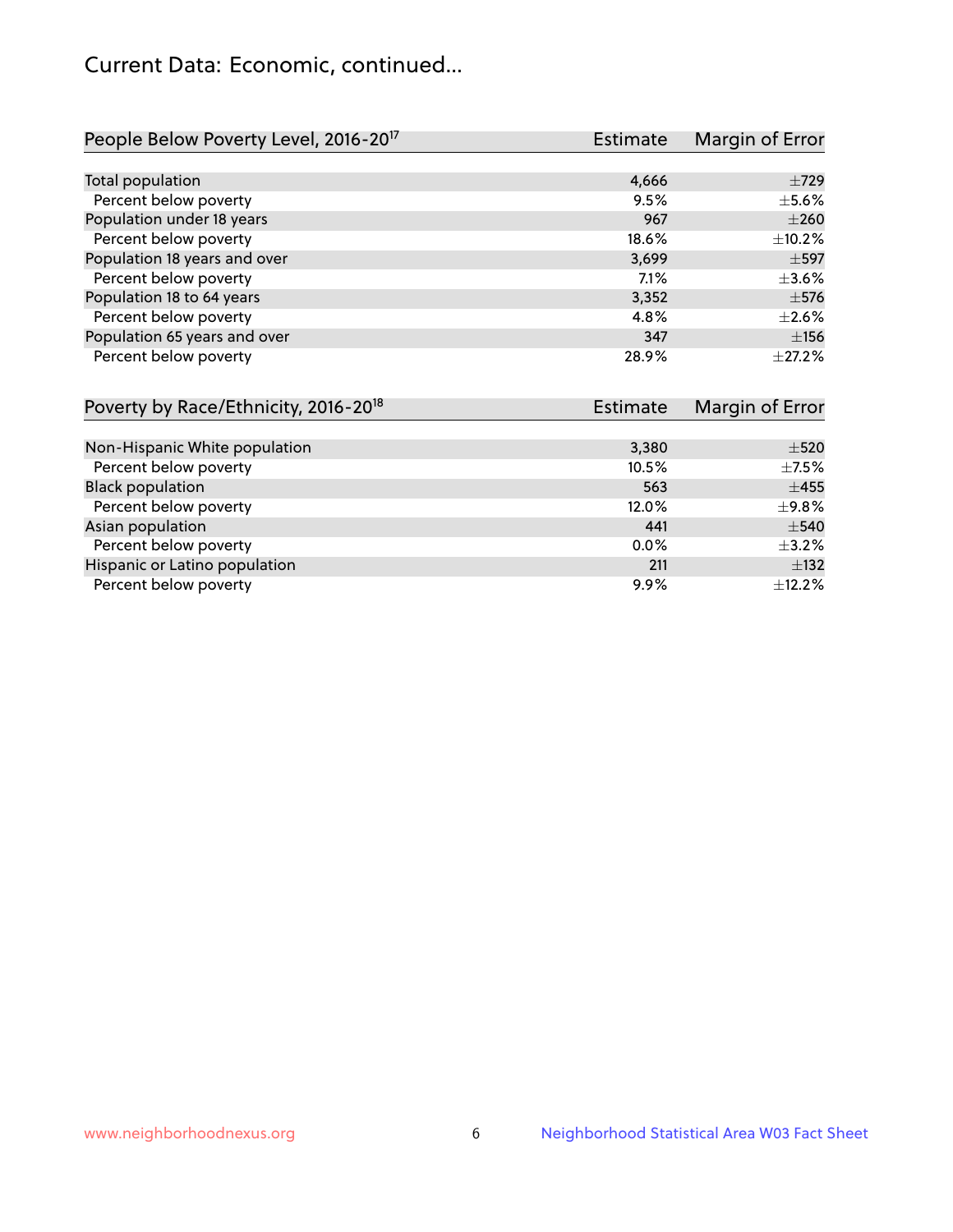## Current Data: Economic, continued...

| People Below Poverty Level, 2016-20 <sup>17</sup> | <b>Estimate</b> | Margin of Error |
|---------------------------------------------------|-----------------|-----------------|
|                                                   |                 |                 |
| Total population                                  | 4,666           | $\pm 729$       |
| Percent below poverty                             | 9.5%            | $\pm$ 5.6%      |
| Population under 18 years                         | 967             | $\pm 260$       |
| Percent below poverty                             | 18.6%           | ±10.2%          |
| Population 18 years and over                      | 3,699           | $\pm$ 597       |
| Percent below poverty                             | 7.1%            | $\pm 3.6\%$     |
| Population 18 to 64 years                         | 3,352           | $\pm$ 576       |
| Percent below poverty                             | 4.8%            | $\pm 2.6\%$     |
| Population 65 years and over                      | 347             | ±156            |
| Percent below poverty                             | 28.9%           | $\pm 27.2\%$    |

| Poverty by Race/Ethnicity, 2016-20 <sup>18</sup> | <b>Estimate</b> |             |
|--------------------------------------------------|-----------------|-------------|
|                                                  |                 |             |
| Non-Hispanic White population                    | 3,380           | $\pm$ 520   |
| Percent below poverty                            | 10.5%           | $\pm$ 7.5%  |
| <b>Black population</b>                          | 563             | $\pm 455$   |
| Percent below poverty                            | 12.0%           | $\pm$ 9.8%  |
| Asian population                                 | 441             | $\pm$ 540   |
| Percent below poverty                            | $0.0\%$         | $\pm$ 3.2%  |
| Hispanic or Latino population                    | 211             | $\pm$ 132   |
| Percent below poverty                            | $9.9\%$         | $\pm$ 12.2% |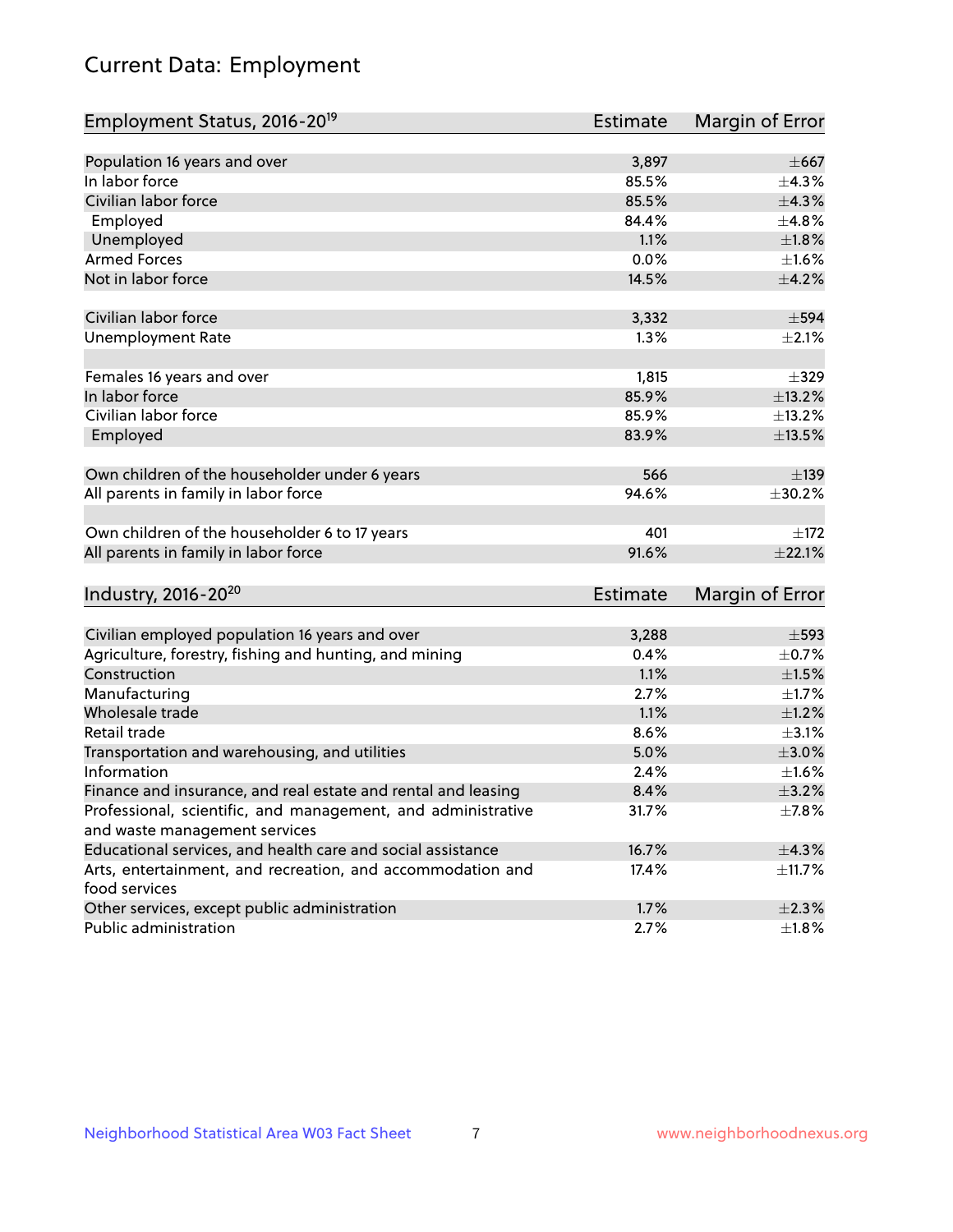# Current Data: Employment

| Employment Status, 2016-20 <sup>19</sup>                      | Estimate        | Margin of Error |
|---------------------------------------------------------------|-----------------|-----------------|
|                                                               |                 |                 |
| Population 16 years and over                                  | 3,897           | $\pm$ 667       |
| In labor force                                                | 85.5%           | ±4.3%           |
| Civilian labor force                                          | 85.5%           | ±4.3%           |
| Employed                                                      | 84.4%           | ±4.8%           |
| Unemployed                                                    | 1.1%            | $\pm 1.8\%$     |
| <b>Armed Forces</b>                                           | 0.0%            | $\pm1.6\%$      |
| Not in labor force                                            | 14.5%           | $\pm$ 4.2%      |
| Civilian labor force                                          | 3,332           | $\pm$ 594       |
| <b>Unemployment Rate</b>                                      | 1.3%            | $\pm 2.1\%$     |
|                                                               |                 |                 |
| Females 16 years and over                                     | 1,815           | $\pm$ 329       |
| In labor force                                                | 85.9%           | ±13.2%          |
| Civilian labor force                                          | 85.9%           | ±13.2%          |
| Employed                                                      | 83.9%           | ±13.5%          |
| Own children of the householder under 6 years                 | 566             | $\pm$ 139       |
|                                                               |                 | ±30.2%          |
| All parents in family in labor force                          | 94.6%           |                 |
| Own children of the householder 6 to 17 years                 | 401             | ±172            |
| All parents in family in labor force                          | 91.6%           | $\pm 22.1\%$    |
|                                                               |                 |                 |
| Industry, 2016-20 <sup>20</sup>                               | <b>Estimate</b> | Margin of Error |
| Civilian employed population 16 years and over                | 3,288           | $\pm$ 593       |
| Agriculture, forestry, fishing and hunting, and mining        | 0.4%            | $\pm$ 0.7%      |
| Construction                                                  | 1.1%            | $\pm 1.5\%$     |
| Manufacturing                                                 | 2.7%            | $\pm 1.7\%$     |
| Wholesale trade                                               | 1.1%            | $\pm 1.2\%$     |
| Retail trade                                                  | 8.6%            | $\pm$ 3.1%      |
| Transportation and warehousing, and utilities                 | 5.0%            | $\pm 3.0\%$     |
| Information                                                   | 2.4%            | ±1.6%           |
| Finance and insurance, and real estate and rental and leasing | 8.4%            | ±3.2%           |
| Professional, scientific, and management, and administrative  | 31.7%           | ±7.8%           |
| and waste management services                                 |                 |                 |
| Educational services, and health care and social assistance   | 16.7%           | ±4.3%           |
| Arts, entertainment, and recreation, and accommodation and    | 17.4%           | $\pm$ 11.7%     |
| food services                                                 |                 |                 |
| Other services, except public administration                  | 1.7%            | $\pm 2.3\%$     |
| Public administration                                         | 2.7%            | ±1.8%           |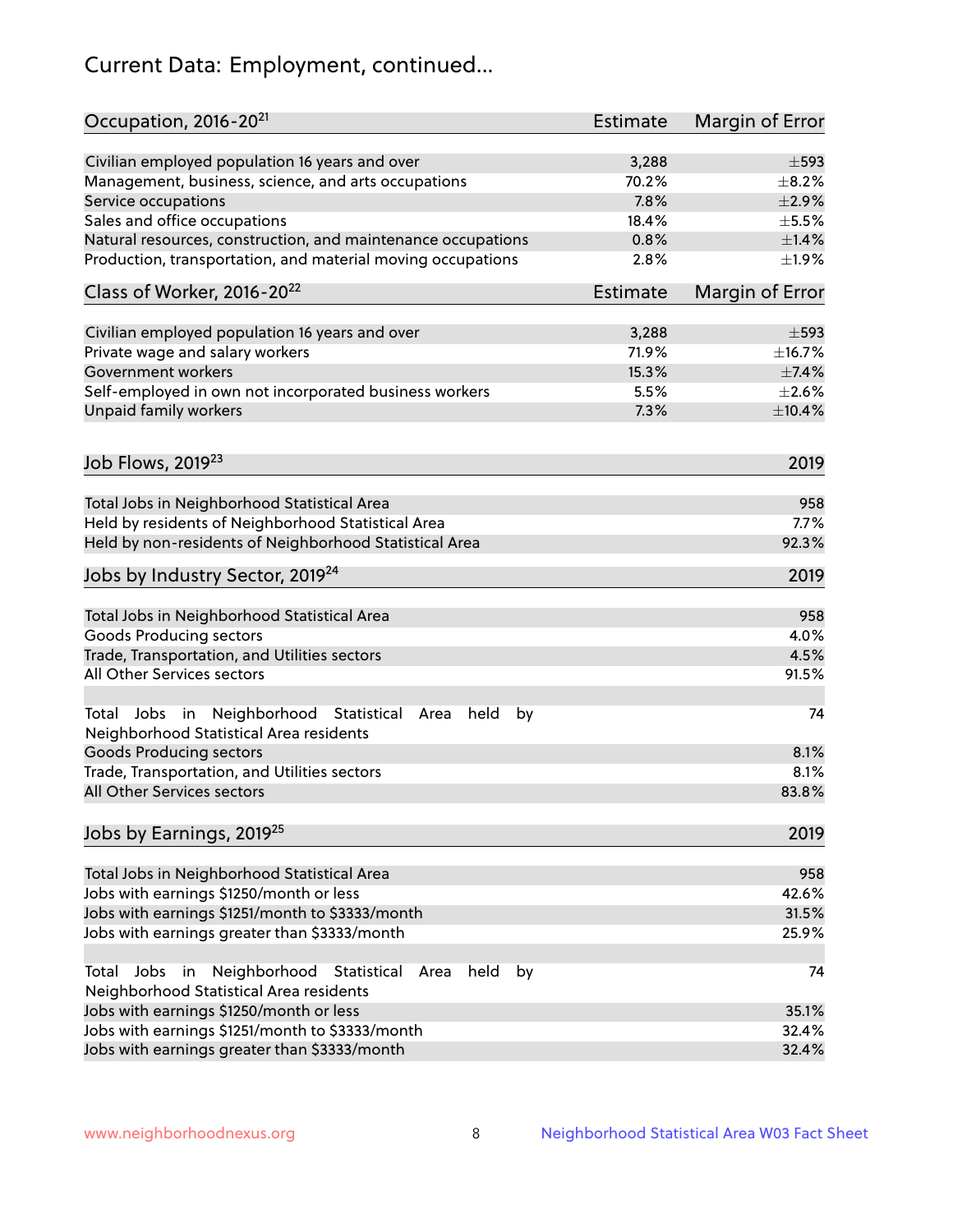# Current Data: Employment, continued...

| Occupation, 2016-20 <sup>21</sup>                                                                       | Estimate        | Margin of Error |
|---------------------------------------------------------------------------------------------------------|-----------------|-----------------|
| Civilian employed population 16 years and over                                                          | 3,288           | $\pm$ 593       |
| Management, business, science, and arts occupations                                                     | 70.2%           | $\pm$ 8.2%      |
| Service occupations                                                                                     | 7.8%            | $\pm 2.9\%$     |
| Sales and office occupations                                                                            | 18.4%           | $\pm$ 5.5%      |
| Natural resources, construction, and maintenance occupations                                            | 0.8%            | $\pm$ 1.4%      |
| Production, transportation, and material moving occupations                                             | 2.8%            | ±1.9%           |
| Class of Worker, 2016-20 <sup>22</sup>                                                                  | <b>Estimate</b> | Margin of Error |
| Civilian employed population 16 years and over                                                          | 3,288           | $\pm$ 593       |
| Private wage and salary workers                                                                         | 71.9%           | ±16.7%          |
| Government workers                                                                                      | 15.3%           | $\pm$ 7.4%      |
| Self-employed in own not incorporated business workers                                                  | 5.5%            | $\pm 2.6\%$     |
| Unpaid family workers                                                                                   | 7.3%            | ±10.4%          |
|                                                                                                         |                 |                 |
| Job Flows, 2019 <sup>23</sup>                                                                           |                 | 2019            |
| Total Jobs in Neighborhood Statistical Area                                                             |                 | 958             |
| Held by residents of Neighborhood Statistical Area                                                      |                 | 7.7%            |
| Held by non-residents of Neighborhood Statistical Area                                                  |                 | 92.3%           |
| Jobs by Industry Sector, 2019 <sup>24</sup>                                                             |                 | 2019            |
| Total Jobs in Neighborhood Statistical Area                                                             |                 | 958             |
| <b>Goods Producing sectors</b>                                                                          |                 | 4.0%            |
| Trade, Transportation, and Utilities sectors                                                            |                 | 4.5%            |
| All Other Services sectors                                                                              |                 | 91.5%           |
| Total Jobs in Neighborhood Statistical<br>held<br>by<br>Area<br>Neighborhood Statistical Area residents |                 | 74              |
| <b>Goods Producing sectors</b>                                                                          |                 | 8.1%            |
| Trade, Transportation, and Utilities sectors                                                            |                 | 8.1%            |
| All Other Services sectors                                                                              |                 | 83.8%           |
| Jobs by Earnings, 2019 <sup>25</sup>                                                                    |                 | 2019            |
| Total Jobs in Neighborhood Statistical Area                                                             |                 | 958             |
| Jobs with earnings \$1250/month or less                                                                 |                 | 42.6%           |
| Jobs with earnings \$1251/month to \$3333/month                                                         |                 | 31.5%           |
| Jobs with earnings greater than \$3333/month                                                            |                 | 25.9%           |
| Neighborhood Statistical<br>Jobs<br>in<br>held<br>by<br>Total<br>Area                                   |                 | 74              |
| Neighborhood Statistical Area residents                                                                 |                 |                 |
| Jobs with earnings \$1250/month or less                                                                 |                 | 35.1%           |
| Jobs with earnings \$1251/month to \$3333/month                                                         |                 | 32.4%           |
| Jobs with earnings greater than \$3333/month                                                            |                 | 32.4%           |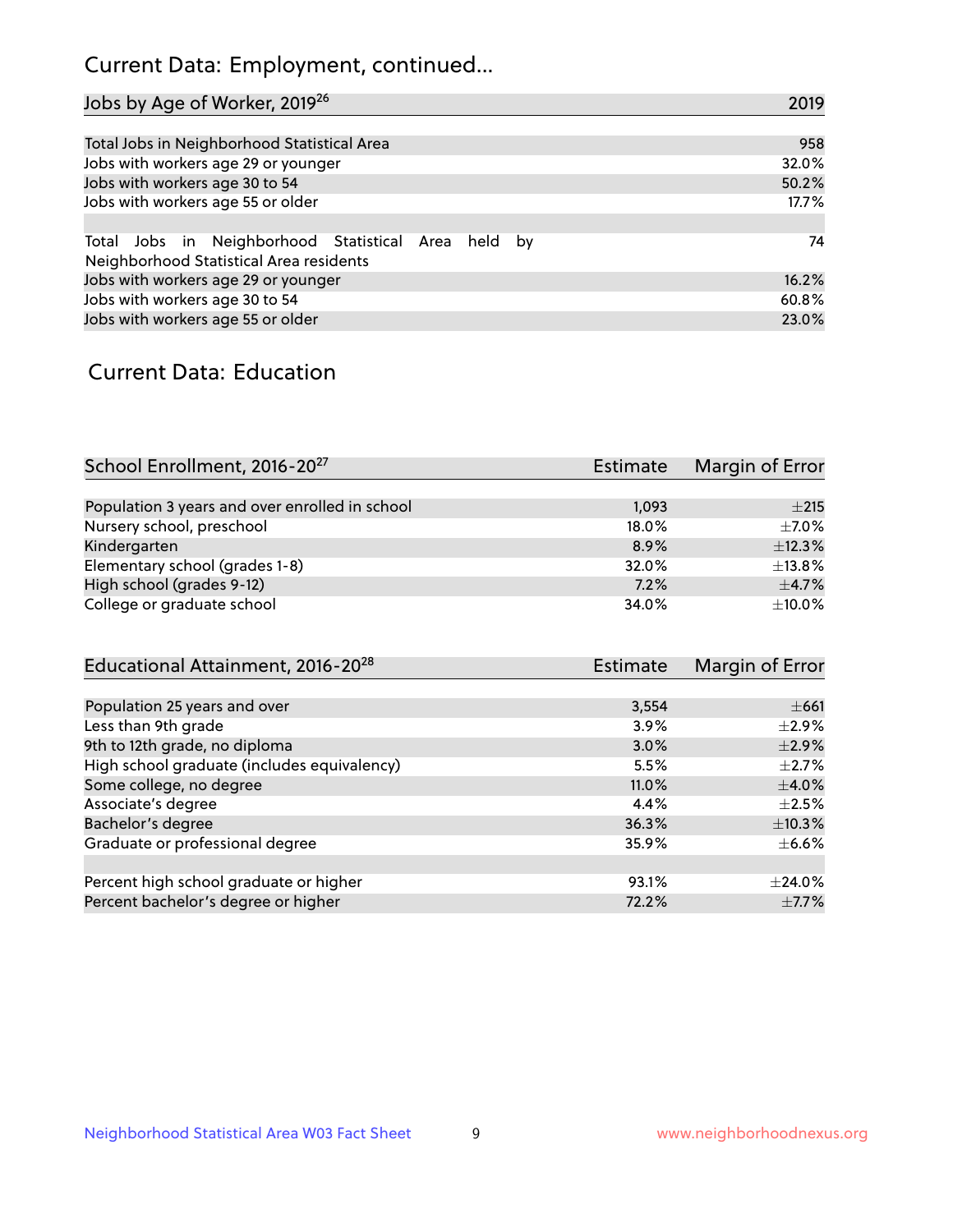## Current Data: Employment, continued...

| Jobs by Age of Worker, 2019 <sup>26</sup>                                                      | 2019  |
|------------------------------------------------------------------------------------------------|-------|
|                                                                                                |       |
| Total Jobs in Neighborhood Statistical Area                                                    | 958   |
| Jobs with workers age 29 or younger                                                            | 32.0% |
| Jobs with workers age 30 to 54                                                                 | 50.2% |
| Jobs with workers age 55 or older                                                              | 17.7% |
|                                                                                                |       |
| Total Jobs in Neighborhood Statistical Area held by<br>Neighborhood Statistical Area residents | 74    |
| Jobs with workers age 29 or younger                                                            | 16.2% |
| Jobs with workers age 30 to 54                                                                 | 60.8% |
| Jobs with workers age 55 or older                                                              | 23.0% |

### Current Data: Education

| School Enrollment, 2016-20 <sup>27</sup>       | Estimate | Margin of Error |
|------------------------------------------------|----------|-----------------|
|                                                |          |                 |
| Population 3 years and over enrolled in school | 1,093    | $\pm 215$       |
| Nursery school, preschool                      | 18.0%    | $+7.0%$         |
| Kindergarten                                   | 8.9%     | ±12.3%          |
| Elementary school (grades 1-8)                 | 32.0%    | ±13.8%          |
| High school (grades 9-12)                      | 7.2%     | $\pm$ 4.7%      |
| College or graduate school                     | 34.0%    | $\pm$ 10.0%     |

| Educational Attainment, 2016-20 <sup>28</sup> | <b>Estimate</b> | Margin of Error |
|-----------------------------------------------|-----------------|-----------------|
|                                               |                 |                 |
| Population 25 years and over                  | 3,554           | $\pm 661$       |
| Less than 9th grade                           | 3.9%            | $\pm 2.9\%$     |
| 9th to 12th grade, no diploma                 | 3.0%            | $\pm 2.9\%$     |
| High school graduate (includes equivalency)   | 5.5%            | $\pm 2.7\%$     |
| Some college, no degree                       | 11.0%           | $\pm$ 4.0%      |
| Associate's degree                            | 4.4%            | $\pm 2.5\%$     |
| Bachelor's degree                             | 36.3%           | ±10.3%          |
| Graduate or professional degree               | 35.9%           | $\pm$ 6.6%      |
|                                               |                 |                 |
| Percent high school graduate or higher        | 93.1%           | $+24.0%$        |
| Percent bachelor's degree or higher           | 72.2%           | $\pm$ 7.7%      |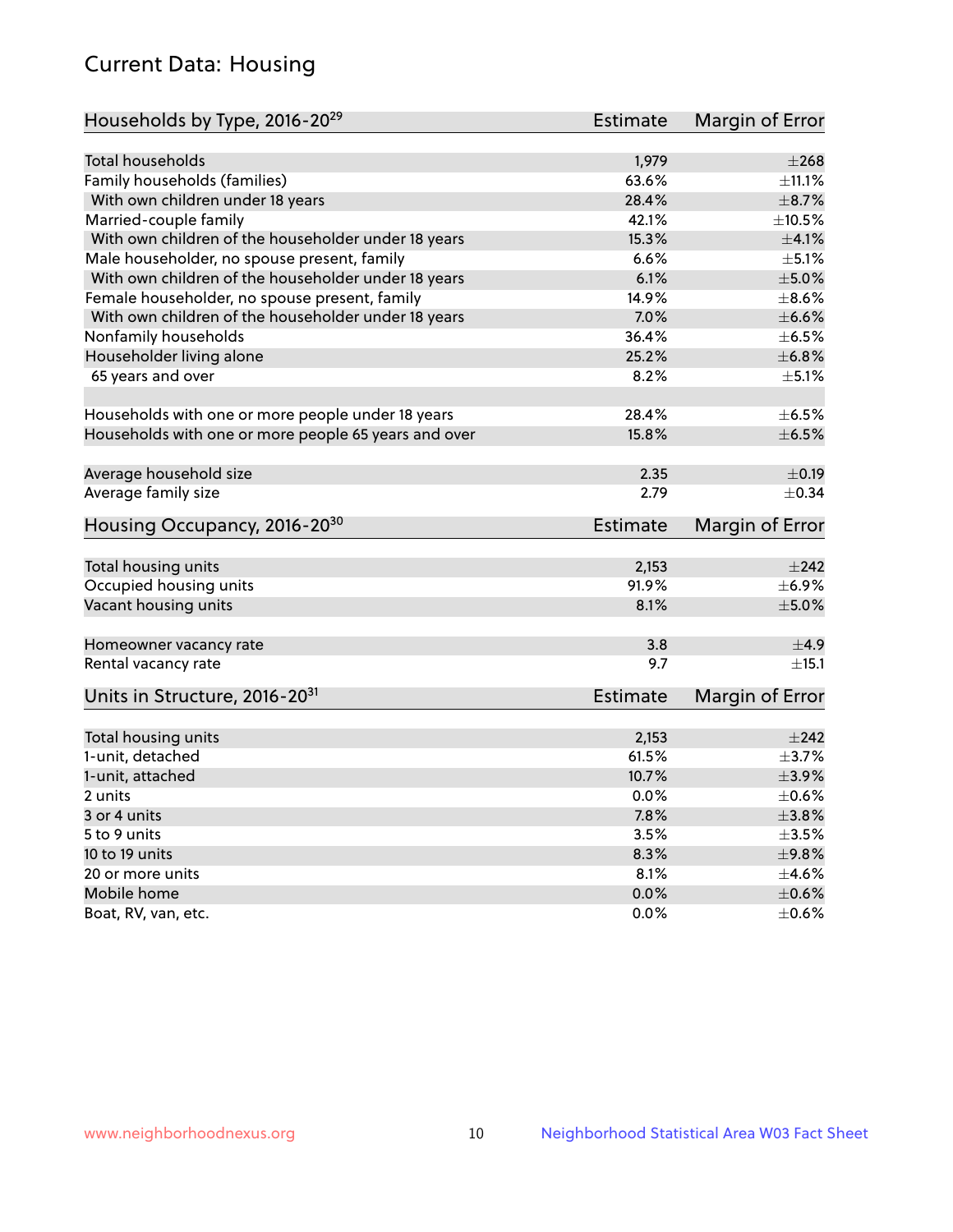## Current Data: Housing

| Households by Type, 2016-20 <sup>29</sup>            | <b>Estimate</b> | Margin of Error |
|------------------------------------------------------|-----------------|-----------------|
|                                                      |                 |                 |
| Total households                                     | 1,979           | ±268            |
| Family households (families)                         | 63.6%           | ±11.1%          |
| With own children under 18 years                     | 28.4%           | $\pm$ 8.7%      |
| Married-couple family                                | 42.1%           | $\pm 10.5\%$    |
| With own children of the householder under 18 years  | 15.3%           | $\pm 4.1\%$     |
| Male householder, no spouse present, family          | 6.6%            | $\pm$ 5.1%      |
| With own children of the householder under 18 years  | 6.1%            | $\pm$ 5.0%      |
| Female householder, no spouse present, family        | 14.9%           | $\pm$ 8.6%      |
| With own children of the householder under 18 years  | 7.0%            | $\pm$ 6.6%      |
| Nonfamily households                                 | 36.4%           | $\pm$ 6.5%      |
| Householder living alone                             | 25.2%           | ±6.8%           |
| 65 years and over                                    | 8.2%            | $\pm$ 5.1%      |
|                                                      |                 |                 |
| Households with one or more people under 18 years    | 28.4%           | $\pm$ 6.5%      |
| Households with one or more people 65 years and over | 15.8%           | $\pm$ 6.5%      |
| Average household size                               | 2.35            | $\pm$ 0.19      |
| Average family size                                  | 2.79            | $\pm$ 0.34      |
|                                                      |                 |                 |
| Housing Occupancy, 2016-20 <sup>30</sup>             | <b>Estimate</b> | Margin of Error |
| Total housing units                                  | 2,153           | $\pm 242$       |
| Occupied housing units                               | 91.9%           | $\pm$ 6.9%      |
| Vacant housing units                                 | 8.1%            | $\pm$ 5.0%      |
|                                                      |                 |                 |
| Homeowner vacancy rate                               | 3.8             | ±4.9            |
| Rental vacancy rate                                  | 9.7             | ±15.1           |
| Units in Structure, 2016-20 <sup>31</sup>            | Estimate        | Margin of Error |
|                                                      |                 |                 |
| Total housing units                                  | 2,153           | $\pm 242$       |
| 1-unit, detached                                     | 61.5%           | $\pm$ 3.7%      |
| 1-unit, attached                                     | 10.7%           | $\pm$ 3.9%      |
| 2 units                                              | 0.0%            | $\pm$ 0.6%      |
| 3 or 4 units                                         | 7.8%            | $\pm$ 3.8%      |
| 5 to 9 units                                         | 3.5%            | $\pm 3.5\%$     |
| 10 to 19 units                                       | 8.3%            | ±9.8%           |
| 20 or more units                                     | 8.1%            | $\pm 4.6\%$     |
| Mobile home                                          | 0.0%            | $\pm$ 0.6%      |
| Boat, RV, van, etc.                                  | $0.0\%$         | $\pm$ 0.6%      |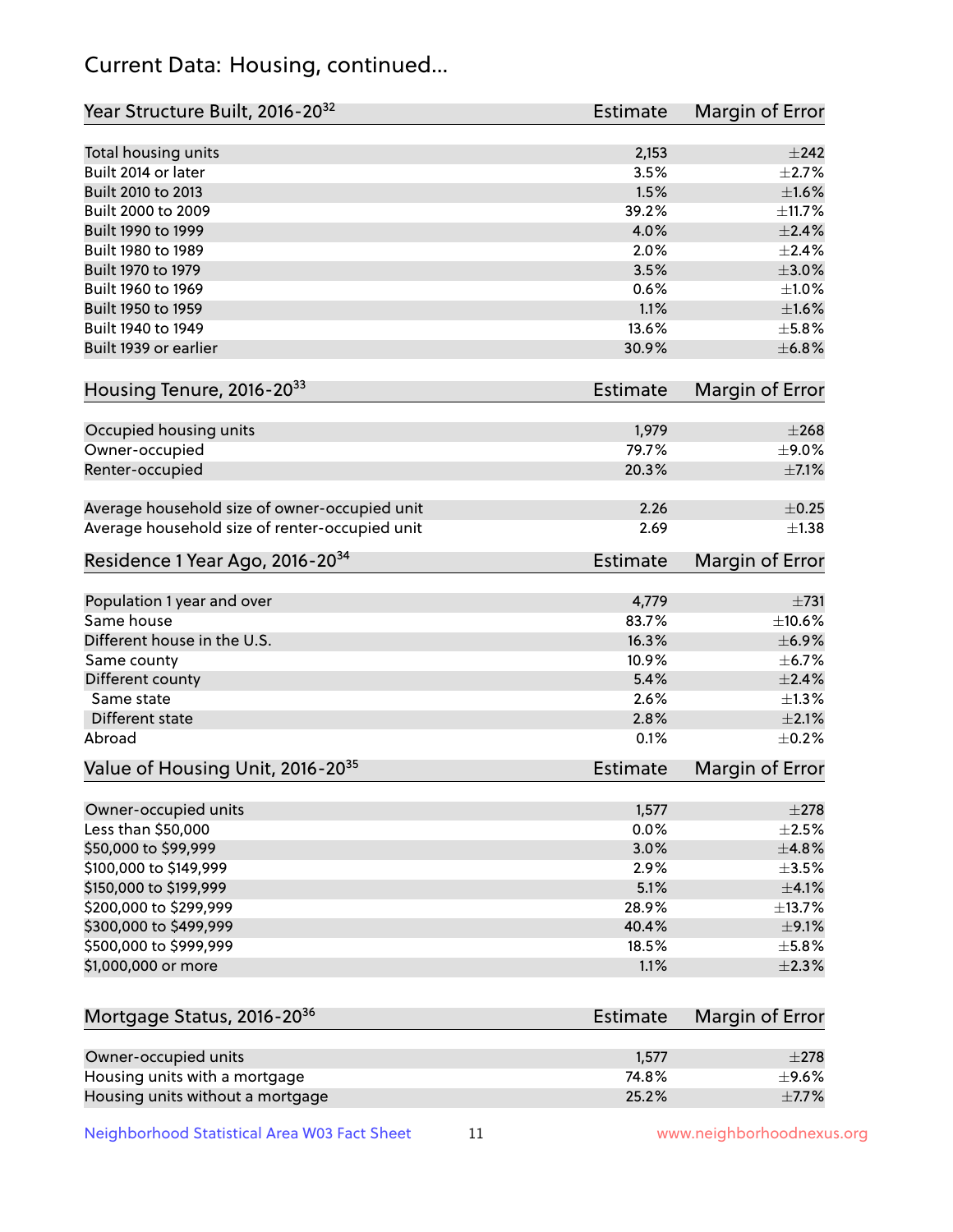## Current Data: Housing, continued...

| Year Structure Built, 2016-20 <sup>32</sup>    | Estimate        | <b>Margin of Error</b> |
|------------------------------------------------|-----------------|------------------------|
| Total housing units                            | 2,153           | $\pm 242$              |
| Built 2014 or later                            | 3.5%            | $\pm 2.7\%$            |
| Built 2010 to 2013                             | 1.5%            | $\pm1.6\%$             |
| Built 2000 to 2009                             | 39.2%           | ±11.7%                 |
| Built 1990 to 1999                             | 4.0%            | $\pm 2.4\%$            |
| Built 1980 to 1989                             | 2.0%            | $\pm 2.4\%$            |
| Built 1970 to 1979                             | 3.5%            | $\pm 3.0\%$            |
| Built 1960 to 1969                             | 0.6%            | $\pm1.0\%$             |
| Built 1950 to 1959                             | 1.1%            | $\pm1.6\%$             |
| Built 1940 to 1949                             | 13.6%           | $\pm$ 5.8%             |
| Built 1939 or earlier                          | 30.9%           | ±6.8%                  |
| Housing Tenure, 2016-2033                      | Estimate        | Margin of Error        |
| Occupied housing units                         | 1,979           | $\pm 268$              |
| Owner-occupied                                 | 79.7%           | $\pm$ 9.0%             |
| Renter-occupied                                | 20.3%           | $\pm$ 7.1%             |
| Average household size of owner-occupied unit  | 2.26            | $\pm$ 0.25             |
| Average household size of renter-occupied unit | 2.69            | $\pm$ 1.38             |
| Residence 1 Year Ago, 2016-20 <sup>34</sup>    | <b>Estimate</b> | <b>Margin of Error</b> |
| Population 1 year and over                     | 4,779           | $\pm 731$              |
| Same house                                     | 83.7%           | ±10.6%                 |
| Different house in the U.S.                    | 16.3%           | $\pm$ 6.9%             |
| Same county                                    | 10.9%           | ±6.7%                  |
| Different county                               | 5.4%            | $\pm 2.4\%$            |
| Same state                                     | 2.6%            | $\pm 1.3\%$            |
| Different state                                | 2.8%            | $\pm 2.1\%$            |
| Abroad                                         | 0.1%            | $\pm$ 0.2%             |
| Value of Housing Unit, 2016-20 <sup>35</sup>   | <b>Estimate</b> | Margin of Error        |
| Owner-occupied units                           | 1,577           | $\pm 278$              |
| Less than \$50,000                             | 0.0%            | $\pm 2.5\%$            |
| \$50,000 to \$99,999                           | 3.0%            | ±4.8%                  |
| \$100,000 to \$149,999                         | 2.9%            | $\pm$ 3.5%             |
| \$150,000 to \$199,999                         | 5.1%            | $\pm$ 4.1%             |
| \$200,000 to \$299,999                         | 28.9%           | ±13.7%                 |
| \$300,000 to \$499,999                         | 40.4%           | $\pm$ 9.1%             |
| \$500,000 to \$999,999                         | 18.5%           | $\pm$ 5.8%             |
| \$1,000,000 or more                            | 1.1%            | $\pm 2.3\%$            |
| Mortgage Status, 2016-20 <sup>36</sup>         | Estimate        | Margin of Error        |
| Owner-occupied units                           | 1,577           | $\pm 278$              |
| Housing units with a mortgage                  | 74.8%           | $\pm$ 9.6%             |

Neighborhood Statistical Area W03 Fact Sheet 11 11 www.neighborhoodnexus.org

Housing units without a mortgage  $\pm 7.7\%$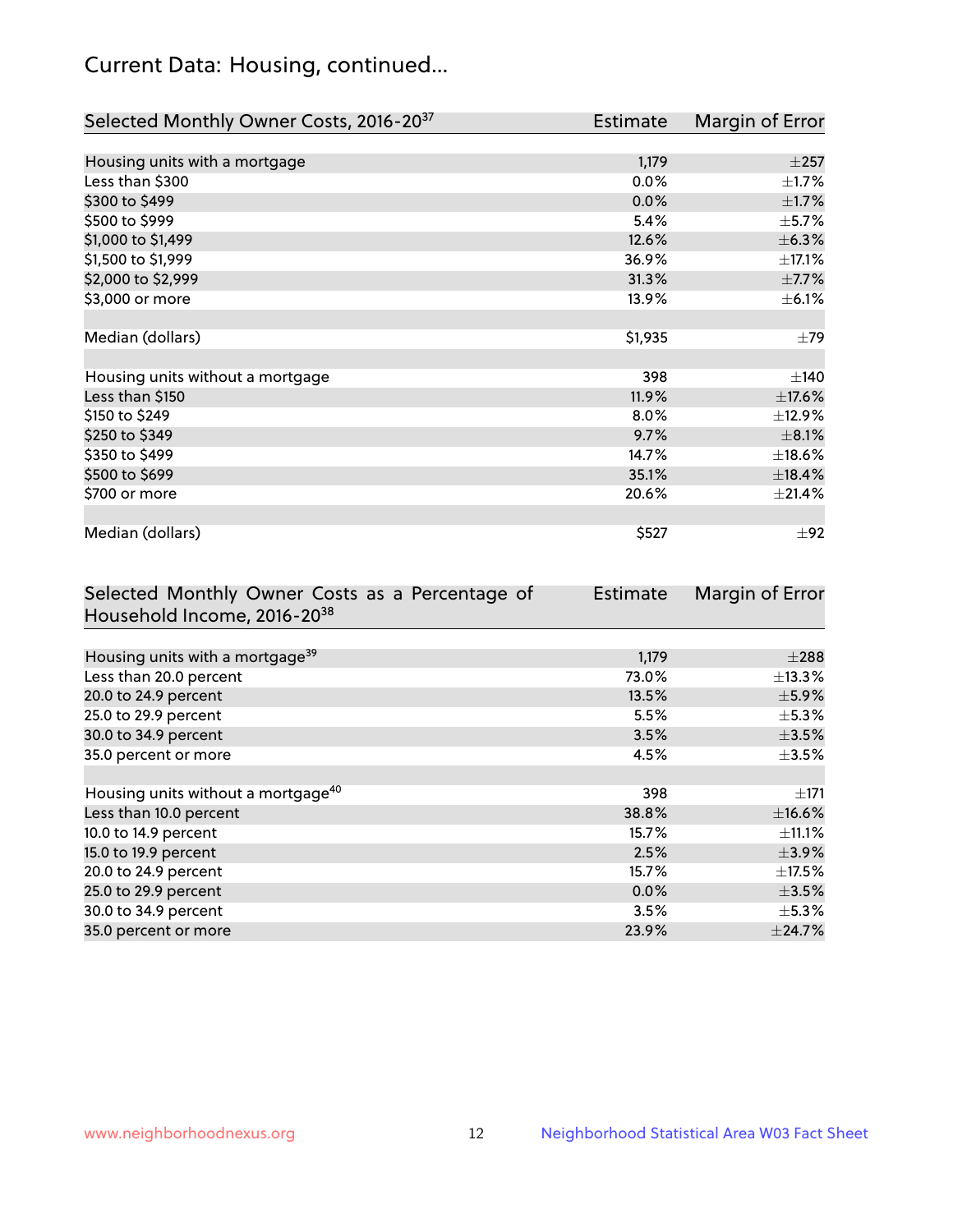## Current Data: Housing, continued...

| Selected Monthly Owner Costs, 2016-20 <sup>37</sup> | Estimate | Margin of Error |
|-----------------------------------------------------|----------|-----------------|
|                                                     |          |                 |
| Housing units with a mortgage                       | 1,179    | $\pm 257$       |
| Less than \$300                                     | 0.0%     | $\pm$ 1.7%      |
| \$300 to \$499                                      | 0.0%     | $\pm 1.7\%$     |
| \$500 to \$999                                      | 5.4%     | $\pm$ 5.7%      |
| \$1,000 to \$1,499                                  | 12.6%    | $\pm$ 6.3%      |
| \$1,500 to \$1,999                                  | 36.9%    | $\pm$ 17.1%     |
| \$2,000 to \$2,999                                  | 31.3%    | $\pm$ 7.7%      |
| \$3,000 or more                                     | 13.9%    | $\pm$ 6.1%      |
|                                                     |          |                 |
| Median (dollars)                                    | \$1,935  | $\pm$ 79        |
|                                                     |          |                 |
| Housing units without a mortgage                    | 398      | $\pm$ 140       |
| Less than \$150                                     | 11.9%    | ±17.6%          |
| \$150 to \$249                                      | 8.0%     | ±12.9%          |
| \$250 to \$349                                      | 9.7%     | $\pm$ 8.1%      |
| \$350 to \$499                                      | 14.7%    | ±18.6%          |
| \$500 to \$699                                      | 35.1%    | ±18.4%          |
| \$700 or more                                       | 20.6%    | ±21.4%          |
|                                                     |          |                 |
| Median (dollars)                                    | \$527    | ±92             |

| Selected Monthly Owner Costs as a Percentage of | <b>Estimate</b> | Margin of Error |
|-------------------------------------------------|-----------------|-----------------|
| Household Income, 2016-20 <sup>38</sup>         |                 |                 |
|                                                 |                 |                 |
| Housing units with a mortgage <sup>39</sup>     | 1,179           | $\pm 288$       |
| Less than 20.0 percent                          | 73.0%           | $\pm$ 13.3%     |
| 20.0 to 24.9 percent                            | 13.5%           | $\pm$ 5.9%      |
| 25.0 to 29.9 percent                            | 5.5%            | $\pm$ 5.3%      |
| 30.0 to 34.9 percent                            | 3.5%            | $\pm$ 3.5%      |
| 35.0 percent or more                            | 4.5%            | $\pm$ 3.5%      |
|                                                 |                 |                 |
| Housing units without a mortgage <sup>40</sup>  | 398             | $\pm 171$       |
| Less than 10.0 percent                          | 38.8%           | $\pm$ 16.6%     |
| 10.0 to 14.9 percent                            | 15.7%           | $\pm$ 11.1%     |
| 15.0 to 19.9 percent                            | 2.5%            | $\pm$ 3.9%      |
| 20.0 to 24.9 percent                            | 15.7%           | $\pm$ 17.5%     |
| 25.0 to 29.9 percent                            | 0.0%            | $\pm$ 3.5%      |
| 30.0 to 34.9 percent                            | 3.5%            | $\pm$ 5.3%      |
| 35.0 percent or more                            | 23.9%           | $\pm$ 24.7%     |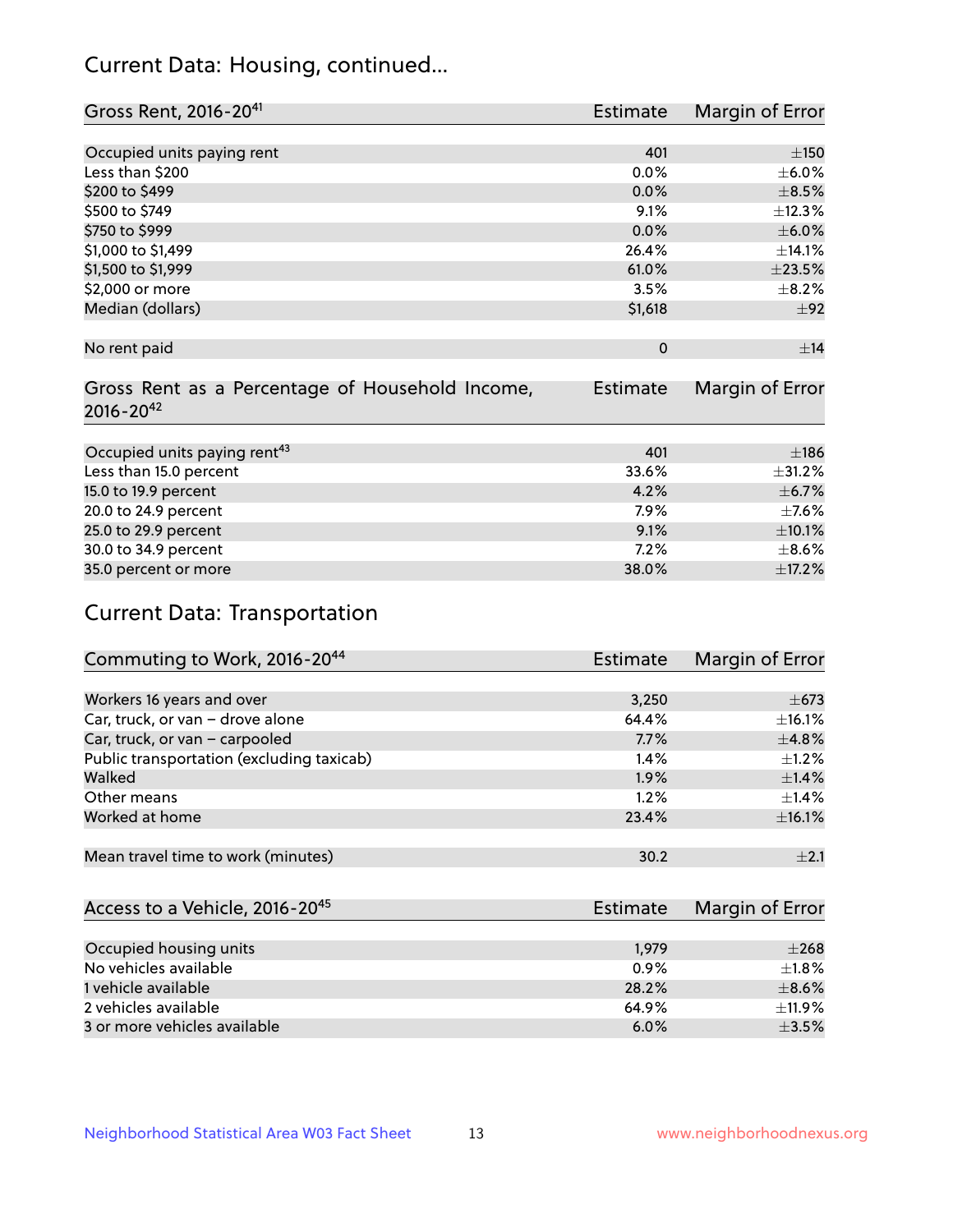## Current Data: Housing, continued...

| Gross Rent, 2016-20 <sup>41</sup>                                   | Estimate        | Margin of Error |
|---------------------------------------------------------------------|-----------------|-----------------|
|                                                                     |                 |                 |
| Occupied units paying rent                                          | 401             | ±150            |
| Less than \$200                                                     | $0.0\%$         | $\pm$ 6.0%      |
| \$200 to \$499                                                      | 0.0%            | $\pm$ 8.5%      |
| \$500 to \$749                                                      | 9.1%            | ±12.3%          |
| \$750 to \$999                                                      | 0.0%            | $\pm$ 6.0%      |
| \$1,000 to \$1,499                                                  | 26.4%           | ±14.1%          |
| \$1,500 to \$1,999                                                  | 61.0%           | ±23.5%          |
| \$2,000 or more                                                     | 3.5%            | $\pm$ 8.2%      |
| Median (dollars)                                                    | \$1,618         | ±92             |
| No rent paid                                                        | $\Omega$        | ±14             |
| Gross Rent as a Percentage of Household Income,<br>$2016 - 20^{42}$ | <b>Estimate</b> | Margin of Error |
|                                                                     |                 |                 |
| Occupied units paying rent <sup>43</sup>                            | 401             | ±186            |
| Less than 15.0 percent                                              | 33.6%           | ±31.2%          |
| 15.0 to 19.9 percent                                                | 4.2%            | $\pm$ 6.7%      |
| 20.0 to 24.9 percent                                                | 7.9%            | $\pm$ 7.6%      |
| 25.0 to 29.9 percent                                                | 9.1%            | $\pm 10.1\%$    |
| 30.0 to 34.9 percent                                                | $7.2\%$         | $\pm$ 8.6%      |
| 35.0 percent or more                                                | 38.0%           | ±17.2%          |

# Current Data: Transportation

| Commuting to Work, 2016-20 <sup>44</sup>  | Estimate | Margin of Error |
|-------------------------------------------|----------|-----------------|
|                                           |          |                 |
| Workers 16 years and over                 | 3,250    | $\pm$ 673       |
| Car, truck, or van - drove alone          | 64.4%    | ±16.1%          |
| Car, truck, or van - carpooled            | 7.7%     | ±4.8%           |
| Public transportation (excluding taxicab) | $1.4\%$  | $+1.2%$         |
| Walked                                    | 1.9%     | $\pm$ 1.4%      |
| Other means                               | 1.2%     | $\pm$ 1.4%      |
| Worked at home                            | 23.4%    | ±16.1%          |
|                                           |          |                 |
| Mean travel time to work (minutes)        | 30.2     | $+2.1$          |

| Access to a Vehicle, 2016-20 <sup>45</sup> | Estimate | Margin of Error |
|--------------------------------------------|----------|-----------------|
|                                            |          |                 |
| Occupied housing units                     | 1,979    | $\pm 268$       |
| No vehicles available                      | 0.9%     | $+1.8%$         |
| 1 vehicle available                        | 28.2%    | $\pm$ 8.6%      |
| 2 vehicles available                       | 64.9%    | $\pm$ 11.9%     |
| 3 or more vehicles available               | 6.0%     | $+3.5%$         |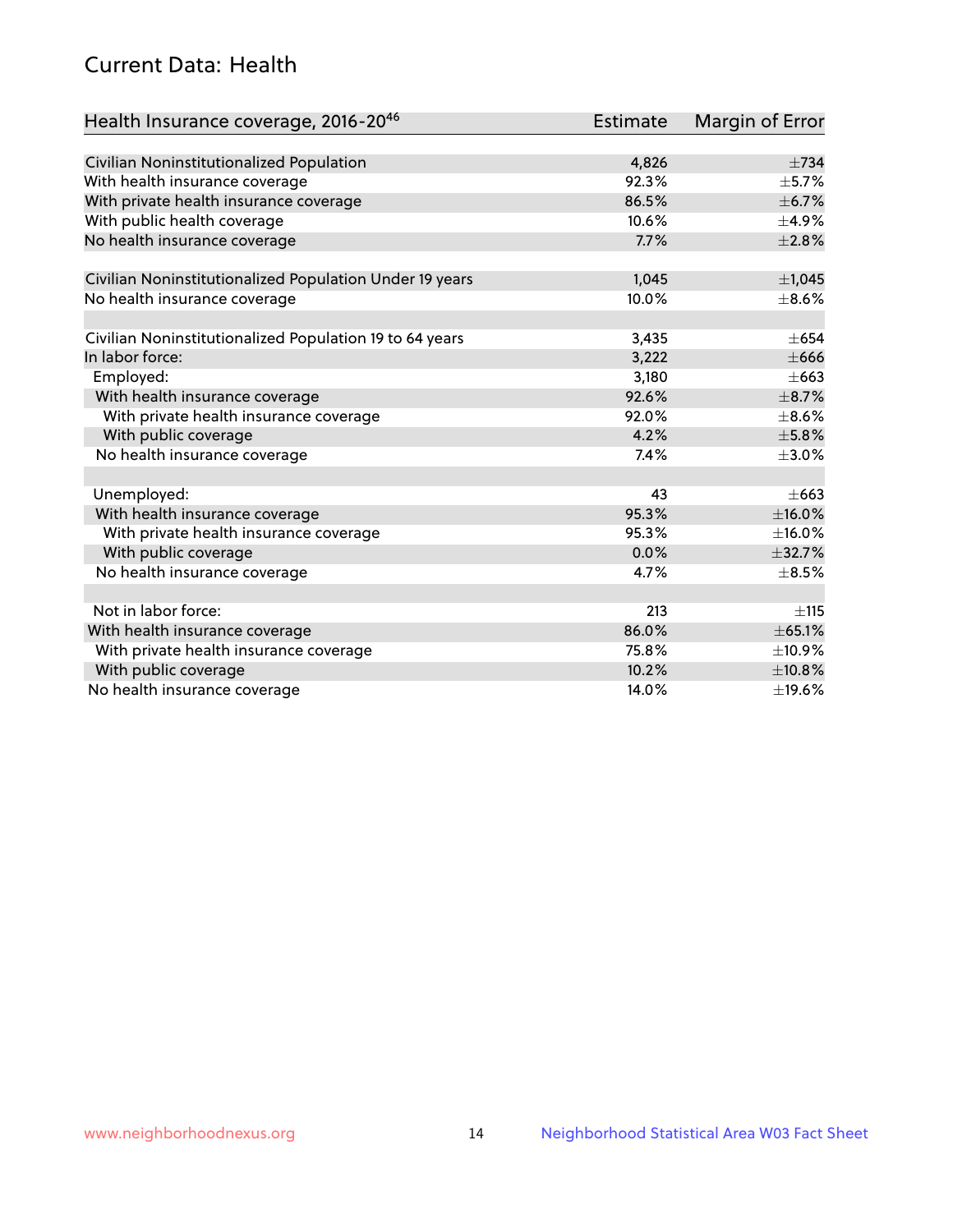## Current Data: Health

| Health Insurance coverage, 2016-2046                    | <b>Estimate</b> | Margin of Error |
|---------------------------------------------------------|-----------------|-----------------|
|                                                         |                 |                 |
| Civilian Noninstitutionalized Population                | 4,826           | $\pm 734$       |
| With health insurance coverage                          | 92.3%           | $\pm$ 5.7%      |
| With private health insurance coverage                  | 86.5%           | $\pm$ 6.7%      |
| With public health coverage                             | 10.6%           | $\pm$ 4.9%      |
| No health insurance coverage                            | 7.7%            | $\pm 2.8\%$     |
| Civilian Noninstitutionalized Population Under 19 years | 1,045           | $\pm$ 1,045     |
| No health insurance coverage                            | 10.0%           | $\pm$ 8.6%      |
|                                                         |                 |                 |
| Civilian Noninstitutionalized Population 19 to 64 years | 3,435           | $\pm 654$       |
| In labor force:                                         | 3,222           | $\pm 666$       |
| Employed:                                               | 3,180           | $\pm$ 663       |
| With health insurance coverage                          | 92.6%           | $\pm$ 8.7%      |
| With private health insurance coverage                  | 92.0%           | $\pm$ 8.6%      |
| With public coverage                                    | 4.2%            | $\pm$ 5.8%      |
| No health insurance coverage                            | 7.4%            | $\pm 3.0\%$     |
|                                                         |                 |                 |
| Unemployed:                                             | 43              | $\pm$ 663       |
| With health insurance coverage                          | 95.3%           | ±16.0%          |
| With private health insurance coverage                  | 95.3%           | $\pm$ 16.0%     |
| With public coverage                                    | 0.0%            | ±32.7%          |
| No health insurance coverage                            | 4.7%            | $\pm$ 8.5%      |
|                                                         |                 |                 |
| Not in labor force:                                     | 213             | ±115            |
| With health insurance coverage                          | 86.0%           | ± 65.1%         |
| With private health insurance coverage                  | 75.8%           | ±10.9%          |
| With public coverage                                    | 10.2%           | ±10.8%          |
| No health insurance coverage                            | 14.0%           | ±19.6%          |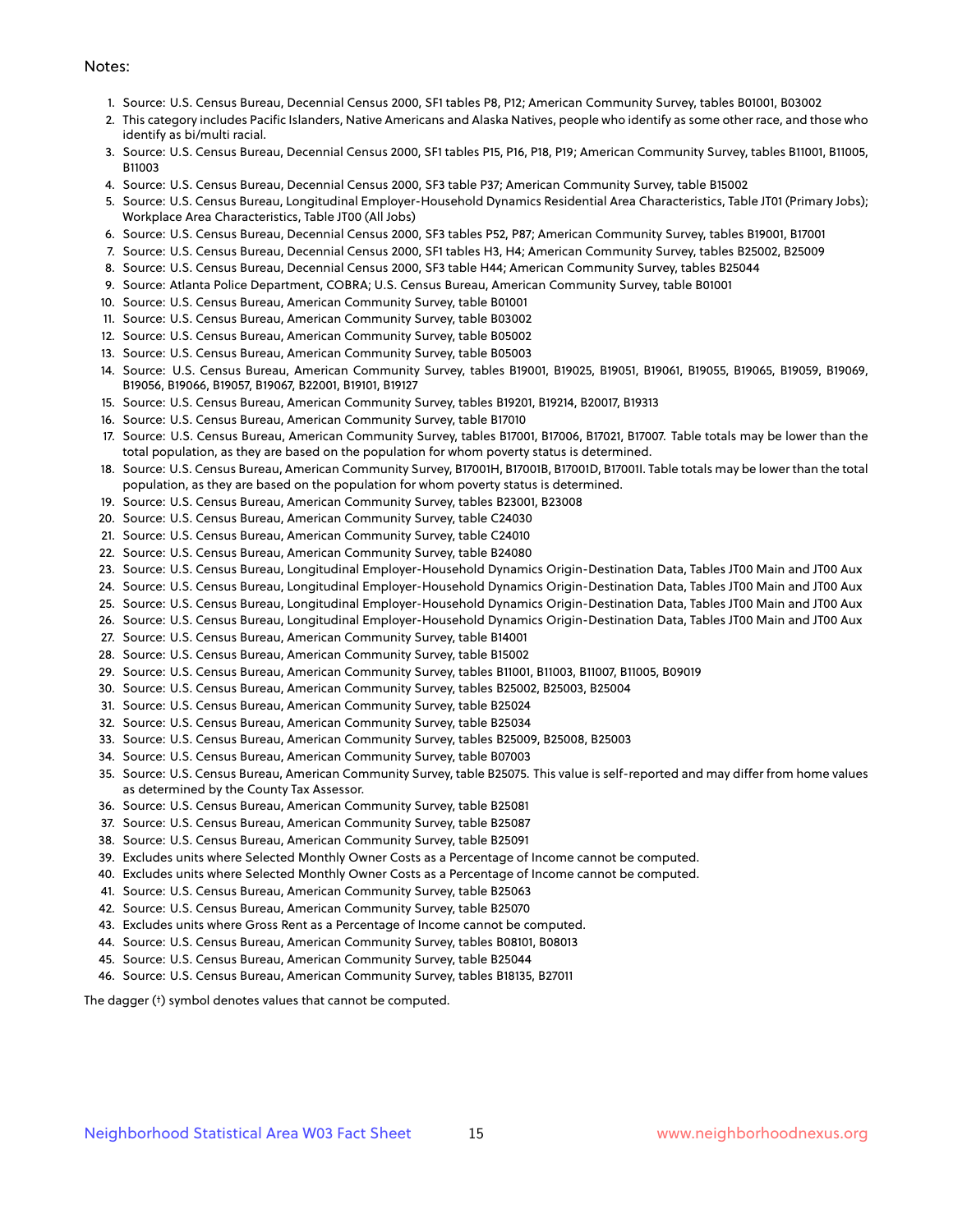#### Notes:

- 1. Source: U.S. Census Bureau, Decennial Census 2000, SF1 tables P8, P12; American Community Survey, tables B01001, B03002
- 2. This category includes Pacific Islanders, Native Americans and Alaska Natives, people who identify as some other race, and those who identify as bi/multi racial.
- 3. Source: U.S. Census Bureau, Decennial Census 2000, SF1 tables P15, P16, P18, P19; American Community Survey, tables B11001, B11005, B11003
- 4. Source: U.S. Census Bureau, Decennial Census 2000, SF3 table P37; American Community Survey, table B15002
- 5. Source: U.S. Census Bureau, Longitudinal Employer-Household Dynamics Residential Area Characteristics, Table JT01 (Primary Jobs); Workplace Area Characteristics, Table JT00 (All Jobs)
- 6. Source: U.S. Census Bureau, Decennial Census 2000, SF3 tables P52, P87; American Community Survey, tables B19001, B17001
- 7. Source: U.S. Census Bureau, Decennial Census 2000, SF1 tables H3, H4; American Community Survey, tables B25002, B25009
- 8. Source: U.S. Census Bureau, Decennial Census 2000, SF3 table H44; American Community Survey, tables B25044
- 9. Source: Atlanta Police Department, COBRA; U.S. Census Bureau, American Community Survey, table B01001
- 10. Source: U.S. Census Bureau, American Community Survey, table B01001
- 11. Source: U.S. Census Bureau, American Community Survey, table B03002
- 12. Source: U.S. Census Bureau, American Community Survey, table B05002
- 13. Source: U.S. Census Bureau, American Community Survey, table B05003
- 14. Source: U.S. Census Bureau, American Community Survey, tables B19001, B19025, B19051, B19061, B19055, B19065, B19059, B19069, B19056, B19066, B19057, B19067, B22001, B19101, B19127
- 15. Source: U.S. Census Bureau, American Community Survey, tables B19201, B19214, B20017, B19313
- 16. Source: U.S. Census Bureau, American Community Survey, table B17010
- 17. Source: U.S. Census Bureau, American Community Survey, tables B17001, B17006, B17021, B17007. Table totals may be lower than the total population, as they are based on the population for whom poverty status is determined.
- 18. Source: U.S. Census Bureau, American Community Survey, B17001H, B17001B, B17001D, B17001I. Table totals may be lower than the total population, as they are based on the population for whom poverty status is determined.
- 19. Source: U.S. Census Bureau, American Community Survey, tables B23001, B23008
- 20. Source: U.S. Census Bureau, American Community Survey, table C24030
- 21. Source: U.S. Census Bureau, American Community Survey, table C24010
- 22. Source: U.S. Census Bureau, American Community Survey, table B24080
- 23. Source: U.S. Census Bureau, Longitudinal Employer-Household Dynamics Origin-Destination Data, Tables JT00 Main and JT00 Aux
- 24. Source: U.S. Census Bureau, Longitudinal Employer-Household Dynamics Origin-Destination Data, Tables JT00 Main and JT00 Aux
- 25. Source: U.S. Census Bureau, Longitudinal Employer-Household Dynamics Origin-Destination Data, Tables JT00 Main and JT00 Aux
- 26. Source: U.S. Census Bureau, Longitudinal Employer-Household Dynamics Origin-Destination Data, Tables JT00 Main and JT00 Aux
- 27. Source: U.S. Census Bureau, American Community Survey, table B14001
- 28. Source: U.S. Census Bureau, American Community Survey, table B15002
- 29. Source: U.S. Census Bureau, American Community Survey, tables B11001, B11003, B11007, B11005, B09019
- 30. Source: U.S. Census Bureau, American Community Survey, tables B25002, B25003, B25004
- 31. Source: U.S. Census Bureau, American Community Survey, table B25024
- 32. Source: U.S. Census Bureau, American Community Survey, table B25034
- 33. Source: U.S. Census Bureau, American Community Survey, tables B25009, B25008, B25003
- 34. Source: U.S. Census Bureau, American Community Survey, table B07003
- 35. Source: U.S. Census Bureau, American Community Survey, table B25075. This value is self-reported and may differ from home values as determined by the County Tax Assessor.
- 36. Source: U.S. Census Bureau, American Community Survey, table B25081
- 37. Source: U.S. Census Bureau, American Community Survey, table B25087
- 38. Source: U.S. Census Bureau, American Community Survey, table B25091
- 39. Excludes units where Selected Monthly Owner Costs as a Percentage of Income cannot be computed.
- 40. Excludes units where Selected Monthly Owner Costs as a Percentage of Income cannot be computed.
- 41. Source: U.S. Census Bureau, American Community Survey, table B25063
- 42. Source: U.S. Census Bureau, American Community Survey, table B25070
- 43. Excludes units where Gross Rent as a Percentage of Income cannot be computed.
- 44. Source: U.S. Census Bureau, American Community Survey, tables B08101, B08013
- 45. Source: U.S. Census Bureau, American Community Survey, table B25044
- 46. Source: U.S. Census Bureau, American Community Survey, tables B18135, B27011

The dagger (†) symbol denotes values that cannot be computed.